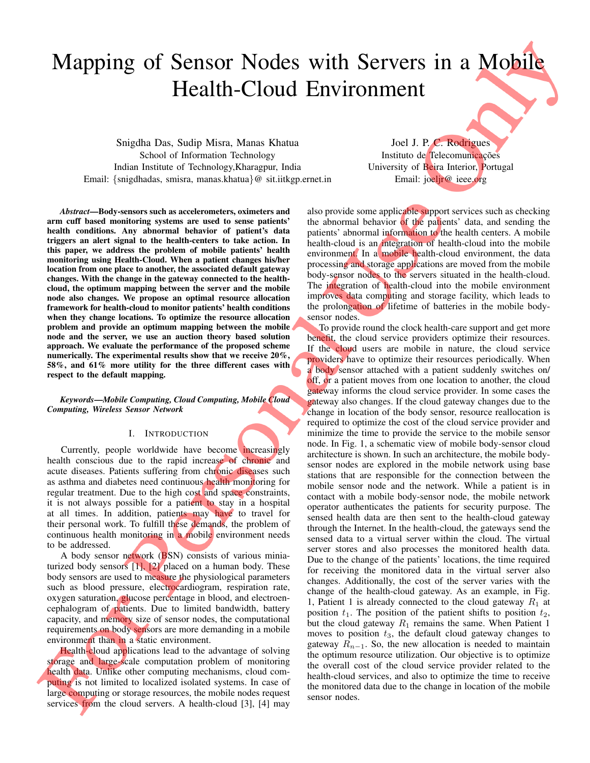# Mapping of Sensor Nodes with Servers in a Mobile Health-Cloud Environment

Snigdha Das, Sudip Misra, Manas Khatua School of Information Technology Indian Institute of Technology,Kharagpur, India Email: {snigdhadas, smisra, manas.khatua}@ sit.iitkgp.ernet.in

Joel J. P. C. Rodrigues Instituto de Telecomunicações University of Beira Interior, Portugal Email: joeljr@ ieee.org

*Abstract*—Body-sensors such as accelerometers, oximeters and arm cuff based monitoring systems are used to sense patients' health conditions. Any abnormal behavior of patient's data triggers an alert signal to the health-centers to take action. In this paper, we address the problem of mobile patients' health monitoring using Health-Cloud. When a patient changes his/her location from one place to another, the associated default gateway changes. With the change in the gateway connected to the healthcloud, the optimum mapping between the server and the mobile node also changes. We propose an optimal resource allocation framework for health-cloud to monitor patients' health conditions when they change locations. To optimize the resource allocation problem and provide an optimum mapping between the mobile node and the server, we use an auction theory based solution approach. We evaluate the performance of the proposed scheme numerically. The experimental results show that we receive 20%, 58%, and 61% more utility for the three different cases with respect to the default mapping.

*Keywords*—*Mobile Computing, Cloud Computing, Mobile Cloud Computing, Wireless Sensor Network*

# I. INTRODUCTION

Currently, people worldwide have become increasingly health conscious due to the rapid increase of chronic and acute diseases. Patients suffering from chronic diseases such as asthma and diabetes need continuous health monitoring for regular treatment. Due to the high cost and space constraints, it is not always possible for a patient to stay in a hospital at all times. In addition, patients may have to travel for their personal work. To fulfill these demands, the problem of continuous health monitoring in a mobile environment needs to be addressed.

A body sensor network (BSN) consists of various miniaturized body sensors  $[1]$ ,  $[2]$  placed on a human body. These body sensors are used to measure the physiological parameters such as blood pressure, electrocardiogram, respiration rate, oxygen saturation, glucose percentage in blood, and electroencephalogram of patients. Due to limited bandwidth, battery capacity, and memory size of sensor nodes, the computational requirements on body sensors are more demanding in a mobile environment than in a static environment.

Health-cloud applications lead to the advantage of solving storage and large-scale computation problem of monitoring health data. Unlike other computing mechanisms, cloud computing is not limited to localized isolated systems. In case of large computing or storage resources, the mobile nodes request services from the cloud servers. A health-cloud [3], [4] may

also provide some applicable support services such as checking the abnormal behavior of the patients' data, and sending the patients' abnormal information to the health centers. A mobile health-cloud is an integration of health-cloud into the mobile environment. In a mobile health-cloud environment, the data processing and storage applications are moved from the mobile body-sensor nodes to the servers situated in the health-cloud. The integration of health-cloud into the mobile environment improves data computing and storage facility, which leads to the prolongation of lifetime of batteries in the mobile bodysensor nodes.

To provide round the clock health-care support and get more benefit, the cloud service providers optimize their resources. If the cloud users are mobile in nature, the cloud service providers have to optimize their resources periodically. When a body sensor attached with a patient suddenly switches on/ off, or a patient moves from one location to another, the cloud gateway informs the cloud service provider. In some cases the gateway also changes. If the cloud gateway changes due to the change in location of the body sensor, resource reallocation is required to optimize the cost of the cloud service provider and minimize the time to provide the service to the mobile sensor node. In Fig. 1, a schematic view of mobile body-sensor cloud architecture is shown. In such an architecture, the mobile bodysensor nodes are explored in the mobile network using base stations that are responsible for the connection between the mobile sensor node and the network. While a patient is in contact with a mobile body-sensor node, the mobile network operator authenticates the patients for security purpose. The sensed health data are then sent to the health-cloud gateway through the Internet. In the health-cloud, the gateways send the sensed data to a virtual server within the cloud. The virtual server stores and also processes the monitored health data. Due to the change of the patients' locations, the time required for receiving the monitored data in the virtual server also changes. Additionally, the cost of the server varies with the change of the health-cloud gateway. As an example, in Fig. 1, Patient 1 is already connected to the cloud gateway  $R_1$  at position  $t_1$ . The position of the patient shifts to position  $t_2$ , but the cloud gateway  $R_1$  remains the same. When Patient 1 moves to position  $t_3$ , the default cloud gateway changes to gateway  $R_{n-1}$ . So, the new allocation is needed to maintain the optimum resource utilization. Our objective is to optimize the overall cost of the cloud service provider related to the health-cloud services, and also to optimize the time to receive the monitored data due to the change in location of the mobile sensor nodes.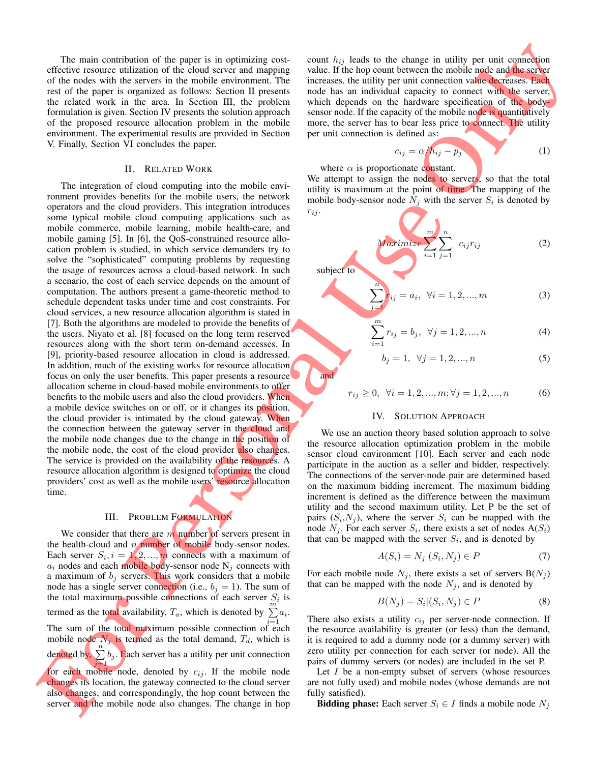The main contribution of the paper is in optimizing costeffective resource utilization of the cloud server and mapping of the nodes with the servers in the mobile environment. The rest of the paper is organized as follows: Section II presents the related work in the area. In Section III, the problem formulation is given. Section IV presents the solution approach of the proposed resource allocation problem in the mobile environment. The experimental results are provided in Section V. Finally, Section VI concludes the paper.

#### II. RELATED WORK

The integration of cloud computing into the mobile environment provides benefits for the mobile users, the network operators and the cloud providers. This integration introduces some typical mobile cloud computing applications such as mobile commerce, mobile learning, mobile health-care, and mobile gaming [5]. In [6], the QoS-constrained resource allocation problem is studied, in which service demanders try to solve the "sophisticated" computing problems by requesting the usage of resources across a cloud-based network. In such a scenario, the cost of each service depends on the amount of computation. The authors present a game-theoretic method to schedule dependent tasks under time and cost constraints. For cloud services, a new resource allocation algorithm is stated in [7]. Both the algorithms are modeled to provide the benefits of the users. Niyato et al. [8] focused on the long term reserved resources along with the short term on-demand accesses. In [9], priority-based resource allocation in cloud is addressed. In addition, much of the existing works for resource allocation focus on only the user benefits. This paper presents a resource allocation scheme in cloud-based mobile environments to offer benefits to the mobile users and also the cloud providers. When a mobile device switches on or off, or it changes its position, the cloud provider is intimated by the cloud gateway. When the connection between the gateway server in the cloud and the mobile node changes due to the change in the position of the mobile node, the cost of the cloud provider also changes. The service is provided on the availability of the resources. A resource allocation algorithm is designed to optimize the cloud providers' cost as well as the mobile users' resource allocation time.

# III. PROBLEM FORMULATION

We consider that there are  $m$  number of servers present in the health-cloud and  $n$  number of mobile body-sensor nodes. Each server  $S_i$ ,  $i = 1, 2, ..., m$  connects with a maximum of  $a_i$  nodes and each mobile body-sensor node  $N_j$  connects with a maximum of  $b_j$  servers. This work considers that a mobile node has a single server connection (i.e.,  $b_i = 1$ ). The sum of the total maximum possible connections of each server  $S_i$  is termed as the total availability,  $T_a$ , which is denoted by  $\sum_{i=1}^{m} a_i$ . The sum of the total maximum possible connection of each mobile node  $N_j$  is termed as the total demand,  $T_d$ , which is denoted by,  $\sum_{i=1}^{n} b_i$ . Each server has a utility per unit connection for each mobile node, denoted by  $c_{ij}$ . If the mobile node changes its location, the gateway connected to the cloud server also changes, and correspondingly, the hop count between the server and the mobile node also changes. The change in hop

count  $h_{ij}$  leads to the change in utility per unit connection value. If the hop count between the mobile node and the server increases, the utility per unit connection value decreases. Each node has an individual capacity to connect with the server, which depends on the hardware specification of the bodysensor node. If the capacity of the mobile node is quantitatively more, the server has to bear less price to connect. The utility per unit connection is defined as:

$$
c_{ij} = \alpha / h_{ij} - p_j \tag{1}
$$

where  $\alpha$  is proportionate constant.

 $\sum_{n=1}^{n}$  $j=1$ 

We attempt to assign the nodes to servers, so that the total utility is maximum at the point of time. The mapping of the mobile body-sensor node  $N_j$  with the server  $S_i$  is denoted by  $r_{ij}$ .

$$
Maximize \sum_{i=1}^{m} \sum_{j=1}^{n} c_{ij} r_{ij}
$$
 (2)

subject to

$$
r_{ij} = a_i, \ \forall i = 1, 2, ..., m \tag{3}
$$

$$
\sum_{i=1}^{m} r_{ij} = b_j, \ \forall j = 1, 2, ..., n
$$
 (4)

$$
b_j = 1, \ \forall j = 1, 2, ..., n \tag{5}
$$

and

$$
r_{ij} \ge 0, \ \forall i = 1, 2, ..., m; \forall j = 1, 2, ..., n \tag{6}
$$

## IV. SOLUTION APPROACH

We use an auction theory based solution approach to solve the resource allocation optimization problem in the mobile sensor cloud environment [10]. Each server and each node participate in the auction as a seller and bidder, respectively. The connections of the server-node pair are determined based on the maximum bidding increment. The maximum bidding increment is defined as the difference between the maximum utility and the second maximum utility. Let P be the set of pairs  $(S_i, N_j)$ , where the server  $S_i$  can be mapped with the node  $N_j$ . For each server  $S_i$ , there exists a set of nodes  $A(S_i)$ that can be mapped with the server  $S_i$ , and is denoted by

$$
A(S_i) = N_j | (S_i, N_j) \in P \tag{7}
$$

For each mobile node  $N_j$ , there exists a set of servers  $B(N_j)$ that can be mapped with the node  $N_j$ , and is denoted by

$$
B(N_j) = S_i | (S_i, N_j) \in P \tag{8}
$$

There also exists a utility  $c_{ij}$  per server-node connection. If the resource availability is greater (or less) than the demand, it is required to add a dummy node (or a dummy server) with zero utility per connection for each server (or node). All the pairs of dummy servers (or nodes) are included in the set P.

Let  $I$  be a non-empty subset of servers (whose resources are not fully used) and mobile nodes (whose demands are not fully satisfied).

**Bidding phase:** Each server  $S_i \in I$  finds a mobile node  $N_j$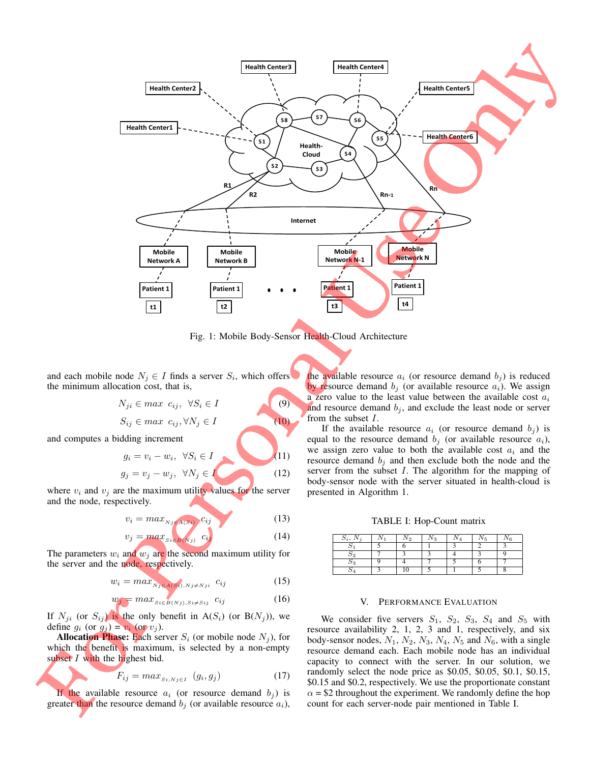

Fig. 1: Mobile Body-Sensor Health-Cloud Architecture

and each mobile node  $N_j \in I$  finds a server  $S_i$ , which offers the minimum allocation cost, that is,

$$
N_{ji} \in max \ c_{ij}, \ \forall S_i \in I
$$
\n
$$
S_{ij} \in max \ c_{ij}, \forall N_j \in I
$$
\n(9)

and computes a bidding increment

$$
g_i = v_i - w_i, \ \forall S_i \in I
$$
  
\n
$$
g_j = v_j - w_j, \ \forall N_j \in I
$$
\n(11)

where  $v_i$  and  $v_j$  are the maximum utility values for the server and the node, respectively.

$$
v_i = max_{Nj \in A(Si)} c_{ij}
$$
 (13)

$$
v_j = max_{Si \in B(Nj)} c_{ij}
$$
 (14)

The parameters  $w_i$  and  $w_j$  are the second maximum utility for the server and the node, respectively.

$$
w_i = max_{N_j \in A(S_i), N_j \neq N_j i} \ c_{ij} \tag{15}
$$

$$
w_j = max_{s_i \in B(Nj), S_i \neq Sij} c_{ij}
$$
 (16)

If  $N_{ji}$  (or  $S_{ij}$ ) is the only benefit in  $A(S_i)$  (or  $B(N_j)$ ), we define  $g_i$  (or  $g_j$ ) =  $v_i$  (or  $v_j$ ).

**Allocation Phase:** Each server  $S_i$  (or mobile node  $N_i$ ), for which the benefit is maximum, is selected by a non-empty subset  $I$  with the highest bid.

$$
F_{ij} = max_{S_i, N_j \in I} \quad (g_i, g_j) \tag{17}
$$

If the available resource  $a_i$  (or resource demand  $b_i$ ) is greater than the resource demand  $b_i$  (or available resource  $a_i$ ),

the available resource  $a_i$  (or resource demand  $b_i$ ) is reduced by resource demand  $b_j$  (or available resource  $a_i$ ). We assign a zero value to the least value between the available cost  $a_i$ and resource demand  $b_j$ , and exclude the least node or server from the subset I.

If the available resource  $a_i$  (or resource demand  $b_i$ ) is equal to the resource demand  $b_j$  (or available resource  $a_i$ ), we assign zero value to both the available cost  $a_i$  and the resource demand  $b_i$  and then exclude both the node and the server from the subset *I*. The algorithm for the mapping of body-sensor node with the server situated in health-cloud is presented in Algorithm 1.

TABLE I: Hop-Count matrix

| $S_i, N$ | N 2 | IV 3 | $N_{5}$ | N6 |
|----------|-----|------|---------|----|
|          |     |      |         |    |
| ، ب      |     |      |         |    |
|          |     |      |         |    |
|          |     |      |         |    |

#### V. PERFORMANCE EVALUATION

We consider five servers  $S_1$ ,  $S_2$ ,  $S_3$ ,  $S_4$  and  $S_5$  with resource availability 2, 1, 2, 3 and 1, respectively, and six body-sensor nodes,  $N_1$ ,  $N_2$ ,  $N_3$ ,  $N_4$ ,  $N_5$  and  $N_6$ , with a single resource demand each. Each mobile node has an individual capacity to connect with the server. In our solution, we randomly select the node price as \$0.05, \$0.05, \$0.1, \$0.15, \$0.15 and \$0.2, respectively. We use the proportionate constant  $\alpha$  = \$2 throughout the experiment. We randomly define the hop count for each server-node pair mentioned in Table I.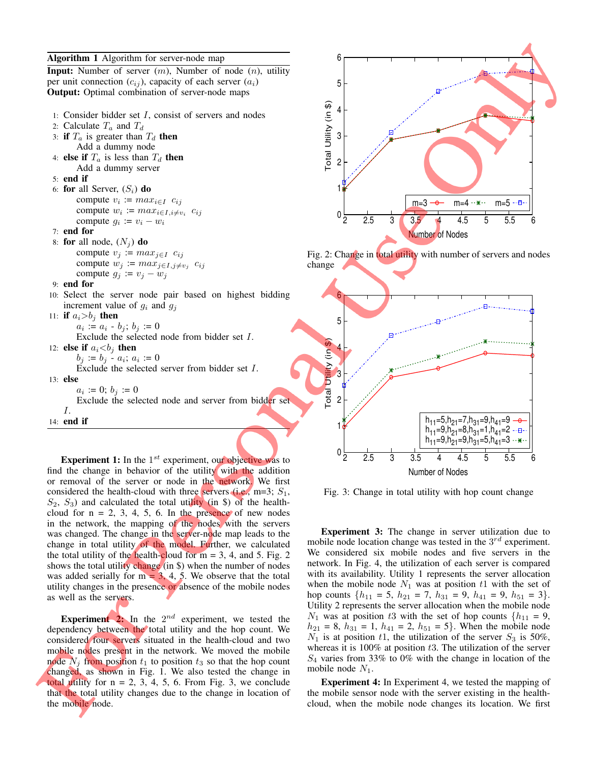## Algorithm 1 Algorithm for server-node map

**Input:** Number of server  $(m)$ , Number of node  $(n)$ , utility per unit connection  $(c_{ij})$ , capacity of each server  $(a_i)$ **Output:** Optimal combination of server-node maps

- 1: Consider bidder set  $I$ , consist of servers and nodes
- 2: Calculate  $T_a$  and  $T_d$
- 3: if  $T_a$  is greater than  $T_d$  then Add a dummy node
- 4: else if  $T_a$  is less than  $T_d$  then Add a dummy server
- 5: end if
- 6: for all Server,  $(S_i)$  do compute  $v_i := max_{i \in I} c_{ij}$ compute  $w_i := max_{i \in I, i \neq v_i} c_{ij}$ compute  $g_i := v_i - w_i$
- 7: end for
- 8: for all node,  $(N_j)$  do compute  $v_j := max_{j \in I} c_{ij}$ compute  $w_j := max_{j \in I, j \neq v_j} c_{ij}$ compute  $g_j := v_j - w_j$
- 9: end for
- 10: Select the server node pair based on highest bidding increment value of  $g_i$  and  $g_j$

11: if  $a_i > b_i$  then

- $a_i := a_i b_j; b_j := 0$
- Exclude the selected node from bidder set I.
- 12: else if  $a_i < b_i$  then
	- $b_j := b_j a_i; \, a_i := 0$ Exclude the selected server from bidder set I.
- 13: else
	- $a_i := 0; b_j := 0$ 
		- Exclude the selected node and server from bidder set



**Experiment 1:** In the  $1^{st}$  experiment, our objective was to find the change in behavior of the utility with the addition or removal of the server or node in the network. We first considered the health-cloud with three servers (i.e., m=3;  $S_1$ ,  $S_2$ ,  $S_3$ ) and calculated the total utility (in \$) of the healthcloud for  $n = 2, 3, 4, 5, 6$ . In the presence of new nodes in the network, the mapping of the nodes with the servers was changed. The change in the server-node map leads to the change in total utility of the model. Further, we calculated the total utility of the health-cloud for  $m = 3, 4$ , and 5. Fig. 2 shows the total utility change (in  $\hat{S}$ ) when the number of nodes was added serially for  $m = 3, 4, 5$ . We observe that the total utility changes in the presence or absence of the mobile nodes as well as the servers.

**Experiment 2:** In the  $2^{nd}$  experiment, we tested the dependency between the total utility and the hop count. We considered four servers situated in the health-cloud and two mobile nodes present in the network. We moved the mobile node  $N_i$  from position  $t_1$  to position  $t_3$  so that the hop count changed, as shown in Fig. 1. We also tested the change in total utility for  $n = 2, 3, 4, 5, 6$ . From Fig. 3, we conclude that the total utility changes due to the change in location of the mobile node.



Fig. 2: Change in total utility with number of servers and nodes change



Fig. 3: Change in total utility with hop count change

Experiment 3: The change in server utilization due to mobile node location change was tested in the  $3^{rd}$  experiment. We considered six mobile nodes and five servers in the network. In Fig. 4, the utilization of each server is compared with its availability. Utility 1 represents the server allocation when the mobile node  $N_1$  was at position t1 with the set of hop counts  $\{h_{11} = 5, h_{21} = 7, h_{31} = 9, h_{41} = 9, h_{51} = 3\}.$ Utility 2 represents the server allocation when the mobile node  $N_1$  was at position t3 with the set of hop counts  $\{h_{11} = 9,$  $h_{21} = 8$ ,  $h_{31} = 1$ ,  $h_{41} = 2$ ,  $h_{51} = 5$ . When the mobile node  $N_1$  is at position t1, the utilization of the server  $S_3$  is 50%, whereas it is  $100\%$  at position t3. The utilization of the server  $S_4$  varies from 33% to 0% with the change in location of the mobile node  $N_1$ .

Experiment 4: In Experiment 4, we tested the mapping of the mobile sensor node with the server existing in the healthcloud, when the mobile node changes its location. We first